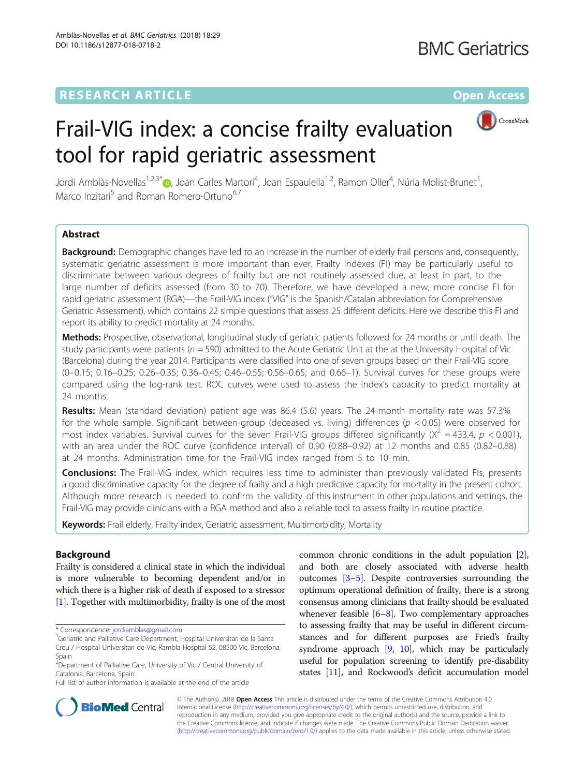## **RESEARCH ARTICLE External Structure Community Community Community Community Community Community Community Community**

**BMC Geriatrics** 



# Frail-VIG index: a concise frailty evaluation tool for rapid geriatric assessment

Jordi Amblàs-Novellas<sup>1,2,3[\\*](http://orcid.org/0000-0002-2338-3054)</sup>®, Joan Carles Martori<sup>4</sup>, Joan Espaulella<sup>1,2</sup>, Ramon Oller<sup>4</sup>, Núria Molist-Brunet<sup>1</sup> , Marco Inzitari<sup>5</sup> and Roman Romero-Ortuno<sup>6,7</sup>

## Abstract

Background: Demographic changes have led to an increase in the number of elderly frail persons and, consequently, systematic geriatric assessment is more important than ever. Frailty Indexes (FI) may be particularly useful to discriminate between various degrees of frailty but are not routinely assessed due, at least in part, to the large number of deficits assessed (from 30 to 70). Therefore, we have developed a new, more concise FI for rapid geriatric assessment (RGA)—the Frail-VIG index ("VIG" is the Spanish/Catalan abbreviation for Comprehensive Geriatric Assessment), which contains 22 simple questions that assess 25 different deficits. Here we describe this FI and report its ability to predict mortality at 24 months.

Methods: Prospective, observational, longitudinal study of geriatric patients followed for 24 months or until death. The study participants were patients ( $n = 590$ ) admitted to the Acute Geriatric Unit at the at the University Hospital of Vic (Barcelona) during the year 2014. Participants were classified into one of seven groups based on their Frail-VIG score (0–0.15; 0.16–0.25; 0.26–0.35; 0.36–0.45; 0.46–0.55; 0.56–0.65; and 0.66–1). Survival curves for these groups were compared using the log-rank test. ROC curves were used to assess the index's capacity to predict mortality at 24 months.

Results: Mean (standard deviation) patient age was 86.4 (5.6) years. The 24-month mortality rate was 57.3% for the whole sample. Significant between-group (deceased vs. living) differences ( $p < 0.05$ ) were observed for most index variables. Survival curves for the seven Frail-VIG groups differed significantly  $(X^2 = 433.4, p < 0.001)$ , with an area under the ROC curve (confidence interval) of 0.90 (0.88–0.92) at 12 months and 0.85 (0.82–0.88) at 24 months. Administration time for the Frail-VIG index ranged from 5 to 10 min.

**Conclusions:** The Frail-VIG index, which requires less time to administer than previously validated FIs, presents a good discriminative capacity for the degree of frailty and a high predictive capacity for mortality in the present cohort. Although more research is needed to confirm the validity of this instrument in other populations and settings, the Frail-VIG may provide clinicians with a RGA method and also a reliable tool to assess frailty in routine practice.

Keywords: Frail elderly, Frailty index, Geriatric assessment, Multimorbidity, Mortality

## Background

Frailty is considered a clinical state in which the individual is more vulnerable to becoming dependent and/or in which there is a higher risk of death if exposed to a stressor [[1](#page-9-0)]. Together with multimorbidity, frailty is one of the most

Full list of author information is available at the end of the article

common chronic conditions in the adult population [[2](#page-9-0)], and both are closely associated with adverse health outcomes [\[3](#page-9-0)–[5](#page-10-0)]. Despite controversies surrounding the optimum operational definition of frailty, there is a strong consensus among clinicians that frailty should be evaluated whenever feasible  $[6-8]$  $[6-8]$  $[6-8]$ . Two complementary approaches to assessing frailty that may be useful in different circumstances and for different purposes are Fried's frailty syndrome approach [[9](#page-10-0), [10\]](#page-10-0), which may be particularly useful for population screening to identify pre-disability states [[11](#page-10-0)], and Rockwood's deficit accumulation model



© The Author(s). 2018 Open Access This article is distributed under the terms of the Creative Commons Attribution 4.0 International License [\(http://creativecommons.org/licenses/by/4.0/](http://creativecommons.org/licenses/by/4.0/)), which permits unrestricted use, distribution, and reproduction in any medium, provided you give appropriate credit to the original author(s) and the source, provide a link to the Creative Commons license, and indicate if changes were made. The Creative Commons Public Domain Dedication waiver [\(http://creativecommons.org/publicdomain/zero/1.0/](http://creativecommons.org/publicdomain/zero/1.0/)) applies to the data made available in this article, unless otherwise stated.

<sup>\*</sup> Correspondence: [jordiamblas@gmail.com](mailto:jordiamblas@gmail.com) <sup>1</sup>

<sup>&</sup>lt;sup>1</sup>Geriatric and Palliative Care Department, Hospital Universitari de la Santa Creu / Hospital Universitari de Vic, Rambla Hospital 52, 08500 Vic, Barcelona, Spain

<sup>&</sup>lt;sup>2</sup> Department of Palliative Care, University of Vic / Central University of Catalonia, Barcelona, Spain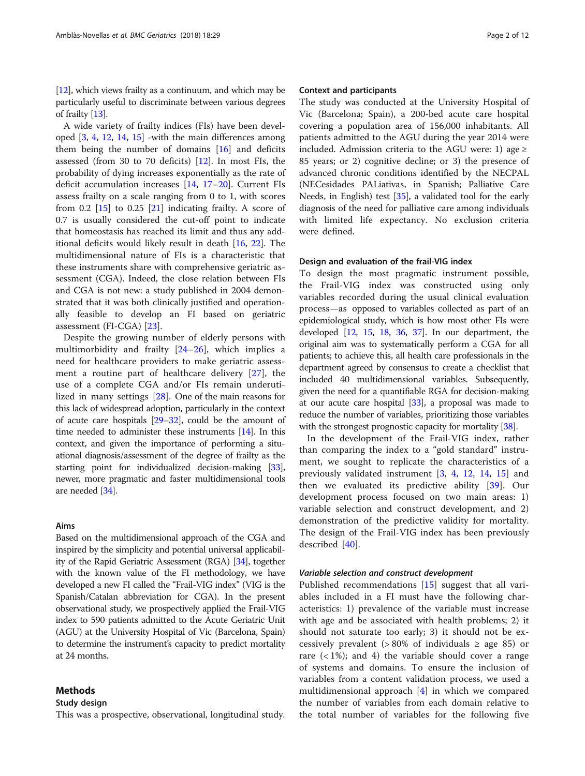[[12](#page-10-0)], which views frailty as a continuum, and which may be particularly useful to discriminate between various degrees of frailty [\[13\]](#page-10-0).

A wide variety of frailty indices (FIs) have been developed [\[3,](#page-9-0) [4](#page-9-0), [12,](#page-10-0) [14,](#page-10-0) [15](#page-10-0)] -with the main differences among them being the number of domains [[16\]](#page-10-0) and deficits assessed (from 30 to 70 deficits) [\[12\]](#page-10-0). In most FIs, the probability of dying increases exponentially as the rate of deficit accumulation increases [\[14](#page-10-0), [17](#page-10-0)–[20](#page-10-0)]. Current FIs assess frailty on a scale ranging from 0 to 1, with scores from 0.2  $[15]$  to 0.25  $[21]$  $[21]$  indicating frailty. A score of 0.7 is usually considered the cut-off point to indicate that homeostasis has reached its limit and thus any additional deficits would likely result in death [[16,](#page-10-0) [22](#page-10-0)]. The multidimensional nature of FIs is a characteristic that these instruments share with comprehensive geriatric assessment (CGA). Indeed, the close relation between FIs and CGA is not new: a study published in 2004 demonstrated that it was both clinically justified and operationally feasible to develop an FI based on geriatric assessment (FI-CGA) [\[23\]](#page-10-0).

Despite the growing number of elderly persons with multimorbidity and frailty [\[24](#page-10-0)–[26](#page-10-0)], which implies a need for healthcare providers to make geriatric assessment a routine part of healthcare delivery [\[27](#page-10-0)], the use of a complete CGA and/or FIs remain underutilized in many settings [[28\]](#page-10-0). One of the main reasons for this lack of widespread adoption, particularly in the context of acute care hospitals  $[29-32]$  $[29-32]$  $[29-32]$  $[29-32]$ , could be the amount of time needed to administer these instruments [[14](#page-10-0)]. In this context, and given the importance of performing a situational diagnosis/assessment of the degree of frailty as the starting point for individualized decision-making [\[33](#page-10-0)], newer, more pragmatic and faster multidimensional tools are needed [\[34\]](#page-10-0).

#### Aims

Based on the multidimensional approach of the CGA and inspired by the simplicity and potential universal applicability of the Rapid Geriatric Assessment (RGA) [\[34\]](#page-10-0), together with the known value of the FI methodology, we have developed a new FI called the "Frail-VIG index" (VIG is the Spanish/Catalan abbreviation for CGA). In the present observational study, we prospectively applied the Frail-VIG index to 590 patients admitted to the Acute Geriatric Unit (AGU) at the University Hospital of Vic (Barcelona, Spain) to determine the instrument's capacity to predict mortality at 24 months.

## Methods

#### Study design

This was a prospective, observational, longitudinal study.

#### Context and participants

The study was conducted at the University Hospital of Vic (Barcelona; Spain), a 200-bed acute care hospital covering a population area of 156,000 inhabitants. All patients admitted to the AGU during the year 2014 were included. Admission criteria to the AGU were: 1) age  $\ge$ 85 years; or 2) cognitive decline; or 3) the presence of advanced chronic conditions identified by the NECPAL (NECesidades PALiativas, in Spanish; Palliative Care Needs, in English) test [[35](#page-10-0)], a validated tool for the early diagnosis of the need for palliative care among individuals with limited life expectancy. No exclusion criteria were defined.

#### Design and evaluation of the frail-VIG index

To design the most pragmatic instrument possible, the Frail-VIG index was constructed using only variables recorded during the usual clinical evaluation process—as opposed to variables collected as part of an epidemiological study, which is how most other FIs were developed  $[12, 15, 18, 36, 37]$  $[12, 15, 18, 36, 37]$  $[12, 15, 18, 36, 37]$  $[12, 15, 18, 36, 37]$  $[12, 15, 18, 36, 37]$  $[12, 15, 18, 36, 37]$  $[12, 15, 18, 36, 37]$  $[12, 15, 18, 36, 37]$  $[12, 15, 18, 36, 37]$ . In our department, the original aim was to systematically perform a CGA for all patients; to achieve this, all health care professionals in the department agreed by consensus to create a checklist that included 40 multidimensional variables. Subsequently, given the need for a quantifiable RGA for decision-making at our acute care hospital  $[33]$ , a proposal was made to reduce the number of variables, prioritizing those variables with the strongest prognostic capacity for mortality [[38](#page-10-0)].

In the development of the Frail-VIG index, rather than comparing the index to a "gold standard" instrument, we sought to replicate the characteristics of a previously validated instrument [[3,](#page-9-0) [4,](#page-9-0) [12,](#page-10-0) [14,](#page-10-0) [15](#page-10-0)] and then we evaluated its predictive ability [[39\]](#page-10-0). Our development process focused on two main areas: 1) variable selection and construct development, and 2) demonstration of the predictive validity for mortality. The design of the Frail-VIG index has been previously described [\[40](#page-10-0)].

#### Variable selection and construct development

Published recommendations [\[15](#page-10-0)] suggest that all variables included in a FI must have the following characteristics: 1) prevalence of the variable must increase with age and be associated with health problems; 2) it should not saturate too early; 3) it should not be excessively prevalent (>80% of individuals  $\geq$  age 85) or rare  $(1\%)$ ; and 4) the variable should cover a range of systems and domains. To ensure the inclusion of variables from a content validation process, we used a multidimensional approach [[4\]](#page-9-0) in which we compared the number of variables from each domain relative to the total number of variables for the following five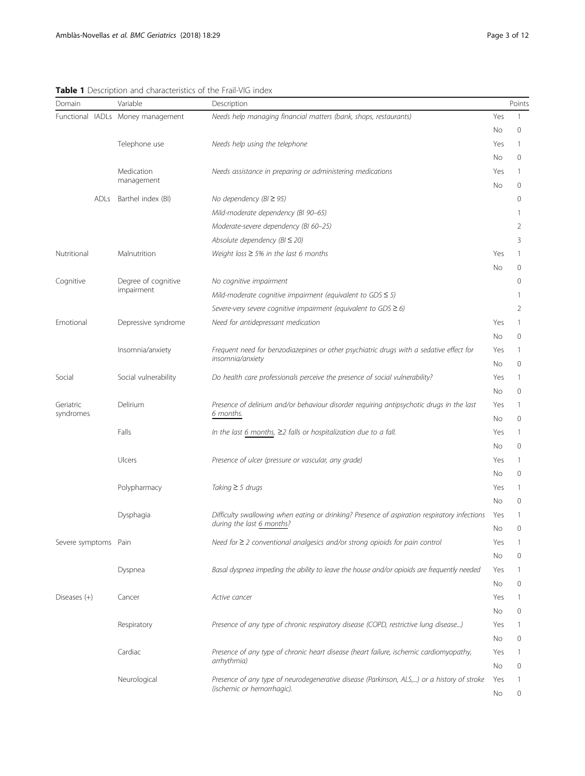|  | Page 3 |  |
|--|--------|--|
|  |        |  |

| Domain               |      | Variable                          | Description                                                                                                               |     | Points       |  |  |
|----------------------|------|-----------------------------------|---------------------------------------------------------------------------------------------------------------------------|-----|--------------|--|--|
|                      |      | Functional IADLs Money management | Needs help managing financial matters (bank, shops, restaurants)                                                          |     |              |  |  |
|                      |      |                                   |                                                                                                                           | No  | 0            |  |  |
|                      |      | Telephone use                     | Needs help using the telephone                                                                                            | Yes | 1            |  |  |
|                      |      |                                   |                                                                                                                           | No  | $\mathbf 0$  |  |  |
|                      |      | Medication                        | Needs assistance in preparing or administering medications                                                                | Yes | $\mathbf{1}$ |  |  |
|                      |      | management                        |                                                                                                                           | No  | $\mathbf 0$  |  |  |
|                      | ADLs | Barthel index (BI)                | No dependency ( $BI \geq 95$ )                                                                                            |     | 0            |  |  |
|                      |      |                                   | Mild-moderate dependency (BI 90-65)                                                                                       |     | 1            |  |  |
|                      |      |                                   | Moderate-severe dependency (BI 60-25)                                                                                     |     | 2            |  |  |
|                      |      |                                   | Absolute dependency ( $BI \leq 20$ )                                                                                      |     | 3            |  |  |
| Nutritional          |      | Malnutrition                      | Weight loss $\geq$ 5% in the last 6 months                                                                                | Yes | $\mathbf{1}$ |  |  |
|                      |      |                                   |                                                                                                                           | No  | $\mathbf 0$  |  |  |
| Cognitive            |      | Degree of cognitive               | No cognitive impairment                                                                                                   |     | 0            |  |  |
|                      |      | impairment                        | Mild-moderate cognitive impairment (equivalent to GDS $\leq$ 5)                                                           |     | 1            |  |  |
|                      |      |                                   | Severe-very severe cognitive impairment (equivalent to GDS $\geq$ 6)                                                      |     | 2            |  |  |
| Emotional            |      | Depressive syndrome               | Need for antidepressant medication                                                                                        | Yes | 1            |  |  |
|                      |      |                                   |                                                                                                                           | No  | $\mathbf 0$  |  |  |
|                      |      | Insomnia/anxiety                  | Frequent need for benzodiazepines or other psychiatric drugs with a sedative effect for                                   | Yes | 1            |  |  |
|                      |      |                                   | insomnia/anxiety                                                                                                          | No  | 0            |  |  |
| Social               |      | Social vulnerability              | Do health care professionals perceive the presence of social vulnerability?                                               | Yes | $\mathbf{1}$ |  |  |
|                      |      |                                   |                                                                                                                           | No  | 0            |  |  |
| Geriatric            |      | Delirium                          | Presence of delirium and/or behaviour disorder requiring antipsychotic drugs in the last                                  | Yes | 1            |  |  |
| syndromes            |      |                                   | 6 months.                                                                                                                 | No  | 0            |  |  |
|                      |      | Falls                             | In the last 6 months, $\geq$ falls or hospitalization due to a fall.                                                      | Yes | 1            |  |  |
|                      |      |                                   |                                                                                                                           | No  | 0            |  |  |
|                      |      | Ulcers                            | Presence of ulcer (pressure or vascular, any grade)                                                                       | Yes | $\mathbf{1}$ |  |  |
|                      |      |                                   |                                                                                                                           | No  | $\mathbf 0$  |  |  |
|                      |      | Polypharmacy                      | Taking $\geq$ 5 drugs                                                                                                     | Yes | $\mathbf{1}$ |  |  |
|                      |      |                                   |                                                                                                                           | No  | $\mathbf 0$  |  |  |
|                      |      | Dysphagia                         | Difficulty swallowing when eating or drinking? Presence of aspiration respiratory infections<br>during the last 6 months? | Yes | $\mathbf{1}$ |  |  |
|                      |      |                                   |                                                                                                                           | No  | 0            |  |  |
| Severe symptoms Pain |      |                                   | Need for ≥ 2 conventional analgesics and/or strong opioids for pain control                                               | Yes |              |  |  |
|                      |      |                                   |                                                                                                                           | No  | 0            |  |  |
|                      |      | Dyspnea                           | Basal dyspnea impeding the ability to leave the house and/or opioids are frequently needed                                | Yes | $\mathbf{1}$ |  |  |
|                      |      |                                   |                                                                                                                           | No  | 0            |  |  |
| Diseases $(+)$       |      | Cancer                            | Active cancer                                                                                                             | Yes | 1            |  |  |
|                      |      |                                   |                                                                                                                           | No  | 0            |  |  |
|                      |      | Respiratory                       | Presence of any type of chronic respiratory disease (COPD, restrictive lung disease)                                      | Yes | $\mathbf{1}$ |  |  |
|                      |      |                                   |                                                                                                                           | No  | 0            |  |  |
|                      |      | Cardiac                           | Presence of any type of chronic heart disease (heart failure, ischemic cardiomyopathy,<br>arrhythmia)                     | Yes | 1            |  |  |
|                      |      |                                   |                                                                                                                           | No  | 0            |  |  |

(ischemic or hemorrhagic).

<span id="page-2-0"></span>Table 1 Description and characteristics of the Frail-VIG index

Neurological **Presence of any type of neurodegenerative** disease (Parkinson, ALS,...) or a history of stroke Yes No 0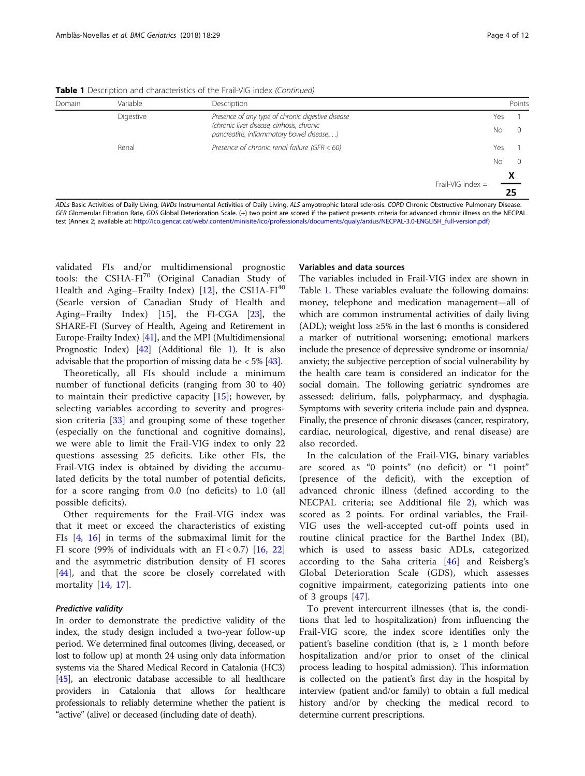Table 1 Description and characteristics of the Frail-VIG index (Continued)

| Domain | Variable  | Description                                                                                                                                   |                     | Points  |
|--------|-----------|-----------------------------------------------------------------------------------------------------------------------------------------------|---------------------|---------|
|        | Digestive | Presence of any type of chronic digestive disease<br>(chronic liver disease, cirrhosis, chronic<br>pancreatitis, inflammatory bowel disease,) | Yes<br>No.          |         |
|        | Renal     | Presence of chronic renal failure (GFR $<$ 60)                                                                                                | Yes                 |         |
|        |           |                                                                                                                                               | <b>No</b>           |         |
|        |           |                                                                                                                                               | Frail-VIG index $=$ | X<br>25 |

ADLs Basic Activities of Daily Living, IAVDs Instrumental Activities of Daily Living, ALS amyotrophic lateral sclerosis. COPD Chronic Obstructive Pulmonary Disease. GFR Glomerular Filtration Rate, GDS Global Deterioration Scale. (+) two point are scored if the patient presents criteria for advanced chronic illness on the NECPAL test (Annex 2; available at: [http://ico.gencat.cat/web/.content/minisite/ico/professionals/documents/qualy/arxius/NECPAL-3.0-ENGLISH\\_full-version.pdf\)](http://ico.gencat.cat/web/.content/minisite/ico/professionals/documents/qualy/arxius/NECPAL-3.0-ENGLISH_full-version.pdf)

validated FIs and/or multidimensional prognostic tools: the CSHA-FI<sup>70</sup> (Original Canadian Study of Health and Aging–Frailty Index)  $[12]$  $[12]$  $[12]$ , the CSHA-FI<sup>40</sup> (Searle version of Canadian Study of Health and Aging–Frailty Index) [[15](#page-10-0)], the FI-CGA [[23](#page-10-0)], the SHARE-FI (Survey of Health, Ageing and Retirement in Europe-Frailty Index) [\[41\]](#page-10-0), and the MPI (Multidimensional Prognostic Index) [[42](#page-10-0)] (Additional file [1\)](#page-9-0). It is also advisable that the proportion of missing data be  $\langle 5\% |43|$ .

Theoretically, all FIs should include a minimum number of functional deficits (ranging from 30 to 40) to maintain their predictive capacity [[15\]](#page-10-0); however, by selecting variables according to severity and progression criteria [[33\]](#page-10-0) and grouping some of these together (especially on the functional and cognitive domains), we were able to limit the Frail-VIG index to only 22 questions assessing 25 deficits. Like other FIs, the Frail-VIG index is obtained by dividing the accumulated deficits by the total number of potential deficits, for a score ranging from 0.0 (no deficits) to 1.0 (all possible deficits).

Other requirements for the Frail-VIG index was that it meet or exceed the characteristics of existing FIs [\[4](#page-9-0), [16\]](#page-10-0) in terms of the submaximal limit for the FI score (99% of individuals with an FI < 0.7) [[16,](#page-10-0) [22](#page-10-0)] and the asymmetric distribution density of FI scores [[44\]](#page-10-0), and that the score be closely correlated with mortality [[14,](#page-10-0) [17](#page-10-0)].

#### Predictive validity

In order to demonstrate the predictive validity of the index, the study design included a two-year follow-up period. We determined final outcomes (living, deceased, or lost to follow up) at month 24 using only data information systems via the Shared Medical Record in Catalonia (HC3) [[45](#page-10-0)], an electronic database accessible to all healthcare providers in Catalonia that allows for healthcare professionals to reliably determine whether the patient is "active" (alive) or deceased (including date of death).

#### Variables and data sources

The variables included in Frail-VIG index are shown in Table [1](#page-2-0). These variables evaluate the following domains: money, telephone and medication management—all of which are common instrumental activities of daily living (ADL); weight loss  $\geq 5\%$  in the last 6 months is considered a marker of nutritional worsening; emotional markers include the presence of depressive syndrome or insomnia/ anxiety; the subjective perception of social vulnerability by the health care team is considered an indicator for the social domain. The following geriatric syndromes are assessed: delirium, falls, polypharmacy, and dysphagia. Symptoms with severity criteria include pain and dyspnea. Finally, the presence of chronic diseases (cancer, respiratory, cardiac, neurological, digestive, and renal disease) are also recorded.

In the calculation of the Frail-VIG, binary variables are scored as "0 points" (no deficit) or "1 point" (presence of the deficit), with the exception of advanced chronic illness (defined according to the NECPAL criteria; see Additional file [2](#page-9-0)), which was scored as 2 points. For ordinal variables, the Frail-VIG uses the well-accepted cut-off points used in routine clinical practice for the Barthel Index (BI), which is used to assess basic ADLs, categorized according to the Saha criteria [[46\]](#page-10-0) and Reisberg's Global Deterioration Scale (GDS), which assesses cognitive impairment, categorizing patients into one of 3 groups  $[47]$  $[47]$ .

To prevent intercurrent illnesses (that is, the conditions that led to hospitalization) from influencing the Frail-VIG score, the index score identifies only the patient's baseline condition (that is,  $\geq 1$  month before hospitalization and/or prior to onset of the clinical process leading to hospital admission). This information is collected on the patient's first day in the hospital by interview (patient and/or family) to obtain a full medical history and/or by checking the medical record to determine current prescriptions.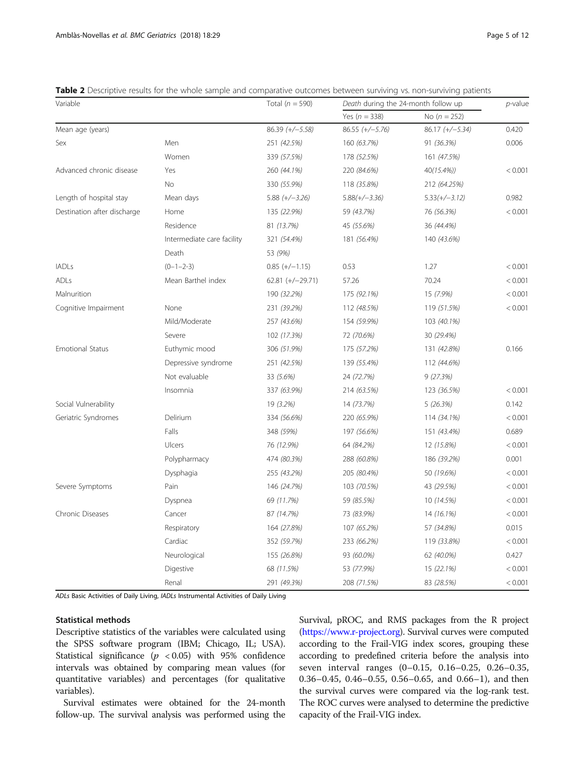<span id="page-4-0"></span>

| Table 2 Descriptive results for the whole sample and comparative outcomes between surviving vs. non-surviving patients |  |  |  |
|------------------------------------------------------------------------------------------------------------------------|--|--|--|
|------------------------------------------------------------------------------------------------------------------------|--|--|--|

| Variable                    |                            | Total ( $n = 590$ ) | Death during the 24-month follow up | $p$ -value        |         |
|-----------------------------|----------------------------|---------------------|-------------------------------------|-------------------|---------|
|                             |                            |                     | Yes ( $n = 338$ )                   | No $(n = 252)$    |         |
| Mean age (years)            |                            | $86.39 (+/-5.58)$   | $86.55 (+/-5.76)$                   | $86.17 (+/-5.34)$ | 0.420   |
| Sex                         | Men                        | 251 (42.5%)         | 160 (63.7%)                         | 91 (36.3%)        | 0.006   |
|                             | Women                      | 339 (57.5%)         | 178 (52.5%)                         | 161 (47.5%)       |         |
| Advanced chronic disease    | Yes                        | 260 (44.1%)         | 220 (84.6%)                         | 40(15.4%)         | < 0.001 |
|                             | <b>No</b>                  | 330 (55.9%)         | 118 (35.8%)                         | 212 (64.25%)      |         |
| Length of hospital stay     | Mean days                  | $5.88 (+/-3.26)$    | $5.88(+/-3.36)$                     | $5.33(+/-3.12)$   | 0.982   |
| Destination after discharge | Home                       | 135 (22.9%)         | 59 (43.7%)                          | 76 (56.3%)        | < 0.001 |
|                             | Residence                  | 81 (13.7%)          | 45 (55.6%)                          | 36 (44.4%)        |         |
|                             | Intermediate care facility | 321 (54.4%)         | 181 (56.4%)                         | 140 (43.6%)       |         |
|                             | Death                      | 53 (9%)             |                                     |                   |         |
| <b>IADLs</b>                | $(0-1-2-3)$                | $0.85 (+/-1.15)$    | 0.53                                | 1.27              | < 0.001 |
| ADLs                        | Mean Barthel index         | $62.81 (+/-29.71)$  | 57.26                               | 70.24             | < 0.001 |
| Malnurition                 |                            | 190 (32.2%)         | 175 (92.1%)                         | 15 (7.9%)         | < 0.001 |
| Cognitive Impairment        | None                       | 231 (39.2%)         | 112 (48.5%)                         | 119 (51.5%)       | < 0.001 |
|                             | Mild/Moderate              | 257 (43.6%)         | 154 (59.9%)                         | 103 (40.1%)       |         |
|                             | Severe                     | 102 (17.3%)         | 72 (70.6%)                          | 30 (29.4%)        |         |
| <b>Emotional Status</b>     | Euthymic mood              | 306 (51.9%)         | 175 (57.2%)                         | 131 (42.8%)       | 0.166   |
|                             | Depressive syndrome        | 251 (42.5%)         | 139 (55.4%)                         | 112 (44.6%)       |         |
|                             | Not evaluable              | 33 (5.6%)           | 24 (72.7%)                          | 9(27.3%)          |         |
|                             | Insomnia                   | 337 (63.9%)         | 214 (63.5%)                         | 123 (36.5%)       | < 0.001 |
| Social Vulnerability        |                            | 19 (3.2%)           | 14 (73.7%)                          | 5(26.3%)          | 0.142   |
| Geriatric Syndromes         | Delirium                   | 334 (56.6%)         | 220 (65.9%)                         | 114 (34.1%)       | < 0.001 |
|                             | Falls                      | 348 (59%)           | 197 (56.6%)                         | 151 (43.4%)       | 0.689   |
|                             | Ulcers                     | 76 (12.9%)          | 64 (84.2%)                          | 12 (15.8%)        | < 0.001 |
|                             | Polypharmacy               | 474 (80.3%)         | 288 (60.8%)                         | 186 (39.2%)       | 0.001   |
|                             | Dysphagia                  | 255 (43.2%)         | 205 (80.4%)                         | 50 (19.6%)        | < 0.001 |
| Severe Symptoms             | Pain                       | 146 (24.7%)         | 103 (70.5%)                         | 43 (29.5%)        | < 0.001 |
|                             | Dyspnea                    | 69 (11.7%)          | 59 (85.5%)                          | 10 (14.5%)        | < 0.001 |
| Chronic Diseases            | Cancer                     | 87 (14.7%)          | 73 (83.9%)                          | 14 (16.1%)        | < 0.001 |
|                             | Respiratory                | 164 (27.8%)         | 107 (65.2%)                         | 57 (34.8%)        | 0.015   |
|                             | Cardiac                    | 352 (59.7%)         | 233 (66.2%)                         | 119 (33.8%)       | < 0.001 |
|                             | Neurological               | 155 (26.8%)         | 93 (60.0%)                          | 62 (40.0%)        | 0.427   |
|                             | Digestive                  | 68 (11.5%)          | 53 (77.9%)                          | 15 (22.1%)        | < 0.001 |
|                             | Renal                      | 291 (49.3%)         | 208 (71.5%)                         | 83 (28.5%)        | < 0.001 |

ADLs Basic Activities of Daily Living, IADLs Instrumental Activities of Daily Living

## Statistical methods

Descriptive statistics of the variables were calculated using the SPSS software program (IBM; Chicago, IL; USA). Statistical significance ( $p < 0.05$ ) with 95% confidence intervals was obtained by comparing mean values (for quantitative variables) and percentages (for qualitative variables).

Survival estimates were obtained for the 24-month follow-up. The survival analysis was performed using the Survival, pROC, and RMS packages from the R project (<https://www.r-project.org>). Survival curves were computed according to the Frail-VIG index scores, grouping these according to predefined criteria before the analysis into seven interval ranges (0–0.15, 0.16–0.25, 0.26–0.35, 0.36–0.45, 0.46–0.55, 0.56–0.65, and 0.66–1), and then the survival curves were compared via the log-rank test. The ROC curves were analysed to determine the predictive capacity of the Frail-VIG index.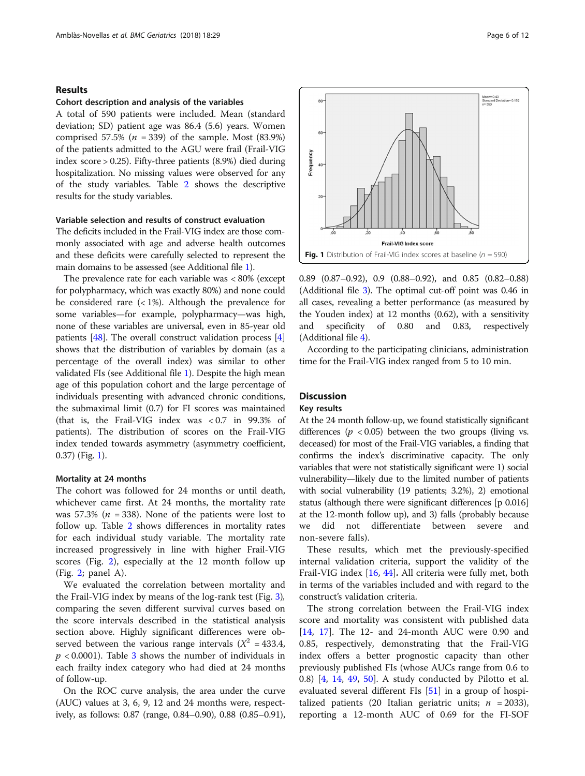#### Results

#### Cohort description and analysis of the variables

A total of 590 patients were included. Mean (standard deviation; SD) patient age was 86.4 (5.6) years. Women comprised 57.5% ( $n = 339$ ) of the sample. Most (83.9%) of the patients admitted to the AGU were frail (Frail-VIG index score > 0.25). Fifty-three patients (8.9%) died during hospitalization. No missing values were observed for any of the study variables. Table [2](#page-4-0) shows the descriptive results for the study variables.

### Variable selection and results of construct evaluation

The deficits included in the Frail-VIG index are those commonly associated with age and adverse health outcomes and these deficits were carefully selected to represent the main domains to be assessed (see Additional file [1](#page-9-0)).

The prevalence rate for each variable was < 80% (except for polypharmacy, which was exactly 80%) and none could be considered rare  $\left($  < 1%). Although the prevalence for some variables—for example, polypharmacy—was high, none of these variables are universal, even in 85-year old patients [[48](#page-10-0)]. The overall construct validation process [[4](#page-9-0)] shows that the distribution of variables by domain (as a percentage of the overall index) was similar to other validated FIs (see Additional file [1](#page-9-0)). Despite the high mean age of this population cohort and the large percentage of individuals presenting with advanced chronic conditions, the submaximal limit (0.7) for FI scores was maintained (that is, the Frail-VIG index was < 0.7 in 99.3% of patients). The distribution of scores on the Frail-VIG index tended towards asymmetry (asymmetry coefficient, 0.37) (Fig. 1).

#### Mortality at 24 months

The cohort was followed for 24 months or until death, whichever came first. At 24 months, the mortality rate was 57.3% ( $n = 338$ ). None of the patients were lost to follow up. Table [2](#page-4-0) shows differences in mortality rates for each individual study variable. The mortality rate increased progressively in line with higher Frail-VIG scores (Fig. [2\)](#page-6-0), especially at the 12 month follow up (Fig. [2;](#page-6-0) panel A).

We evaluated the correlation between mortality and the Frail-VIG index by means of the log-rank test (Fig. [3](#page-7-0)), comparing the seven different survival curves based on the score intervals described in the statistical analysis section above. Highly significant differences were observed between the various range intervals ( $X^2 = 433.4$ ,  $p < 0.0001$ ). Table [3](#page-7-0) shows the number of individuals in each frailty index category who had died at 24 months of follow-up.

On the ROC curve analysis, the area under the curve (AUC) values at 3, 6, 9, 12 and 24 months were, respectively, as follows: 0.87 (range, 0.84–0.90), 0.88 (0.85–0.91), 0.89 (0.87–0.92), 0.9 (0.88–0.92), and 0.85 (0.82–0.88) (Additional file [3](#page-9-0)). The optimal cut-off point was 0.46 in all cases, revealing a better performance (as measured by the Youden index) at 12 months (0.62), with a sensitivity and specificity of 0.80 and 0.83, respectively (Additional file [4\)](#page-9-0).

According to the participating clinicians, administration time for the Frail-VIG index ranged from 5 to 10 min.

## **Discussion**

#### Key results

At the 24 month follow-up, we found statistically significant differences ( $p < 0.05$ ) between the two groups (living vs. deceased) for most of the Frail-VIG variables, a finding that confirms the index's discriminative capacity. The only variables that were not statistically significant were 1) social vulnerability—likely due to the limited number of patients with social vulnerability (19 patients; 3.2%), 2) emotional status (although there were significant differences [p 0.016] at the 12-month follow up), and 3) falls (probably because we did not differentiate between severe and non-severe falls).

These results, which met the previously-specified internal validation criteria, support the validity of the Frail-VIG index [\[16](#page-10-0), [44](#page-10-0)]. All criteria were fully met, both in terms of the variables included and with regard to the construct's validation criteria.

The strong correlation between the Frail-VIG index score and mortality was consistent with published data [[14,](#page-10-0) [17\]](#page-10-0). The 12- and 24-month AUC were 0.90 and 0.85, respectively, demonstrating that the Frail-VIG index offers a better prognostic capacity than other previously published FIs (whose AUCs range from 0.6 to 0.8) [\[4,](#page-9-0) [14,](#page-10-0) [49,](#page-10-0) [50](#page-10-0)]. A study conducted by Pilotto et al. evaluated several different FIs [\[51](#page-10-0)] in a group of hospitalized patients (20 Italian geriatric units;  $n = 2033$ ), reporting a 12-month AUC of 0.69 for the FI-SOF

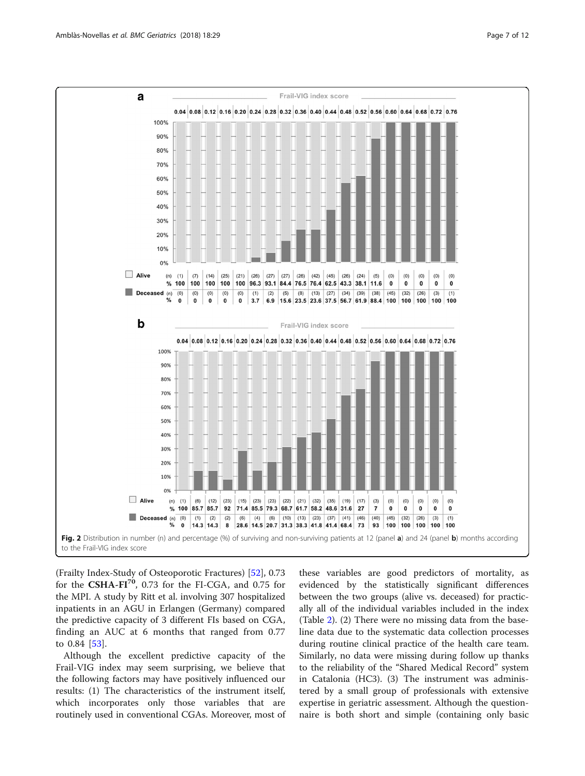<span id="page-6-0"></span>

(Frailty Index-Study of Osteoporotic Fractures) [[52](#page-11-0)], 0.73 for the CSHA- $FI^{70}$ , 0.73 for the FI-CGA, and 0.75 for the MPI. A study by Ritt et al. involving 307 hospitalized inpatients in an AGU in Erlangen (Germany) compared the predictive capacity of 3 different FIs based on CGA, finding an AUC at 6 months that ranged from 0.77 to 0.84 [\[53](#page-11-0)].

Although the excellent predictive capacity of the Frail-VIG index may seem surprising, we believe that the following factors may have positively influenced our results: (1) The characteristics of the instrument itself, which incorporates only those variables that are routinely used in conventional CGAs. Moreover, most of

these variables are good predictors of mortality, as evidenced by the statistically significant differences between the two groups (alive vs. deceased) for practically all of the individual variables included in the index (Table [2](#page-4-0)). (2) There were no missing data from the baseline data due to the systematic data collection processes during routine clinical practice of the health care team. Similarly, no data were missing during follow up thanks to the reliability of the "Shared Medical Record" system in Catalonia (HC3). (3) The instrument was administered by a small group of professionals with extensive expertise in geriatric assessment. Although the questionnaire is both short and simple (containing only basic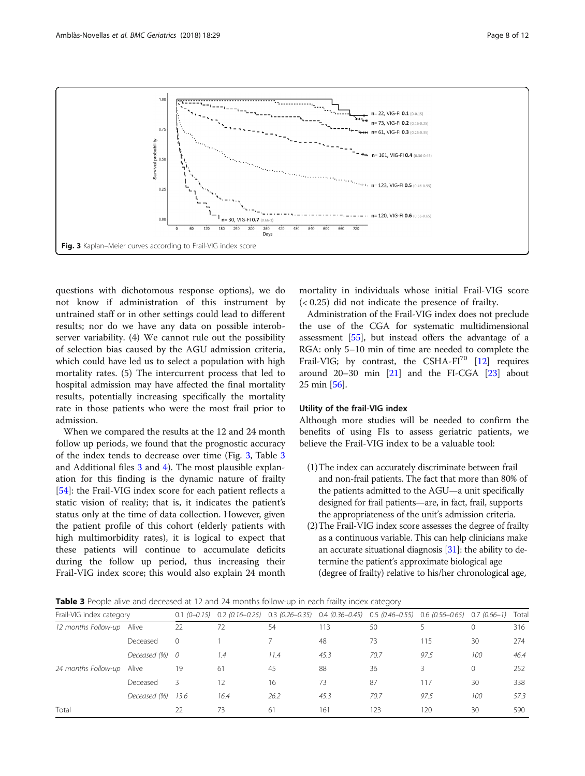<span id="page-7-0"></span>

questions with dichotomous response options), we do not know if administration of this instrument by untrained staff or in other settings could lead to different results; nor do we have any data on possible interobserver variability. (4) We cannot rule out the possibility of selection bias caused by the AGU admission criteria, which could have led us to select a population with high mortality rates. (5) The intercurrent process that led to hospital admission may have affected the final mortality results, potentially increasing specifically the mortality rate in those patients who were the most frail prior to admission.

When we compared the results at the 12 and 24 month follow up periods, we found that the prognostic accuracy of the index tends to decrease over time (Fig. 3, Table 3 and Additional files [3](#page-9-0) and [4\)](#page-9-0). The most plausible explanation for this finding is the dynamic nature of frailty [[54\]](#page-11-0): the Frail-VIG index score for each patient reflects a static vision of reality; that is, it indicates the patient's status only at the time of data collection. However, given the patient profile of this cohort (elderly patients with high multimorbidity rates), it is logical to expect that these patients will continue to accumulate deficits during the follow up period, thus increasing their Frail-VIG index score; this would also explain 24 month mortality in individuals whose initial Frail-VIG score  $( $0.25$ ) did not indicate the presence of the$ 

Administration of the Frail-VIG index does not preclude the use of the CGA for systematic multidimensional assessment [[55](#page-11-0)], but instead offers the advantage of a RGA: only 5–10 min of time are needed to complete the Frail-VIG; by contrast, the CSHA-FI<sup>70</sup> [\[12\]](#page-10-0) requires around 20–30 min [\[21\]](#page-10-0) and the FI-CGA [[23](#page-10-0)] about 25 min [[56](#page-11-0)].

#### Utility of the frail-VIG index

Although more studies will be needed to confirm the benefits of using FIs to assess geriatric patients, we believe the Frail-VIG index to be a valuable tool:

- (1)The index can accurately discriminate between frail and non-frail patients. The fact that more than 80% of the patients admitted to the AGU—a unit specifically designed for frail patients—are, in fact, frail, supports the appropriateness of the unit's admission criteria.
- (2)The Frail-VIG index score assesses the degree of frailty as a continuous variable. This can help clinicians make an accurate situational diagnosis  $[31]$  $[31]$  $[31]$ : the ability to determine the patient's approximate biological age (degree of frailty) relative to his/her chronological age,

| Table 3 People alive and deceased at 12 and 24 months follow-up in each frailty index category |  |  |
|------------------------------------------------------------------------------------------------|--|--|
|------------------------------------------------------------------------------------------------|--|--|

| Frail-VIG index category  |              | $0.1(0 - 0.15)$ |      |      |      | $0.2$ (0.16–0.25) $0.3$ (0.26–0.35) $0.4$ (0.36–0.45) $0.5$ (0.46–0.55) $0.6$ (0.56–0.65) |      | 0.7 (0.66–1) | Tota |
|---------------------------|--------------|-----------------|------|------|------|-------------------------------------------------------------------------------------------|------|--------------|------|
| 12 months Follow-up Alive |              | 22              | 72   | 54   | 113  | 50                                                                                        |      | 0            | 316  |
|                           | Deceased     | $\Omega$        |      |      | 48   | 73                                                                                        | 115  | 30           | 274  |
|                           | Deceased (%) | - 0             | 1.4  | 11.4 | 45.3 | 70.7                                                                                      | 97.5 | 100          | 46.4 |
| 24 months Follow-up       | Alive        | 19              | 61   | 45   | 88   | 36                                                                                        | 3    | 0            | 252  |
|                           | Deceased     | 3               | 12   | 16   | 73   | 87                                                                                        | 117  | 30           | 338  |
|                           | Deceased (%) | 13.6            | 16.4 | 26.2 | 45.3 | 70.7                                                                                      | 97.5 | 100          | 57.3 |
| Total                     |              | 22              | 73   | 61   | 161  | 123                                                                                       | 120  | 30           | 590  |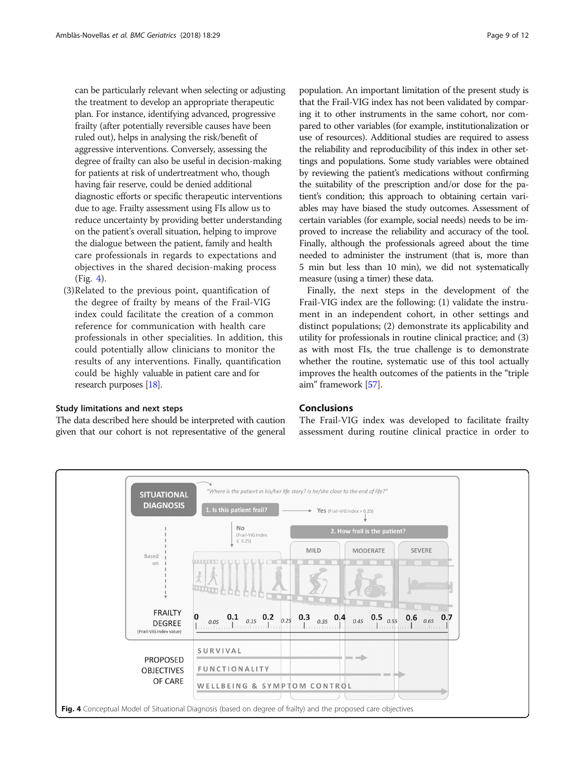can be particularly relevant when selecting or adjusting the treatment to develop an appropriate therapeutic plan. For instance, identifying advanced, progressive frailty (after potentially reversible causes have been ruled out), helps in analysing the risk/benefit of aggressive interventions. Conversely, assessing the degree of frailty can also be useful in decision-making for patients at risk of undertreatment who, though having fair reserve, could be denied additional diagnostic efforts or specific therapeutic interventions due to age. Frailty assessment using FIs allow us to reduce uncertainty by providing better understanding on the patient's overall situation, helping to improve the dialogue between the patient, family and health care professionals in regards to expectations and objectives in the shared decision-making process (Fig. 4).

(3)Related to the previous point, quantification of the degree of frailty by means of the Frail-VIG index could facilitate the creation of a common reference for communication with health care professionals in other specialities. In addition, this could potentially allow clinicians to monitor the results of any interventions. Finally, quantification could be highly valuable in patient care and for research purposes [\[18](#page-10-0)].

#### Study limitations and next steps

The data described here should be interpreted with caution given that our cohort is not representative of the general

## population. An important limitation of the present study is that the Frail-VIG index has not been validated by comparing it to other instruments in the same cohort, nor compared to other variables (for example, institutionalization or use of resources). Additional studies are required to assess the reliability and reproducibility of this index in other settings and populations. Some study variables were obtained by reviewing the patient's medications without confirming the suitability of the prescription and/or dose for the patient's condition; this approach to obtaining certain variables may have biased the study outcomes. Assessment of certain variables (for example, social needs) needs to be improved to increase the reliability and accuracy of the tool. Finally, although the professionals agreed about the time needed to administer the instrument (that is, more than 5 min but less than 10 min), we did not systematically measure (using a timer) these data.

Finally, the next steps in the development of the Frail-VIG index are the following: (1) validate the instrument in an independent cohort, in other settings and distinct populations; (2) demonstrate its applicability and utility for professionals in routine clinical practice; and (3) as with most FIs, the true challenge is to demonstrate whether the routine, systematic use of this tool actually improves the health outcomes of the patients in the "triple aim" framework [[57](#page-11-0)].

## Conclusions

The Frail-VIG index was developed to facilitate frailty assessment during routine clinical practice in order to

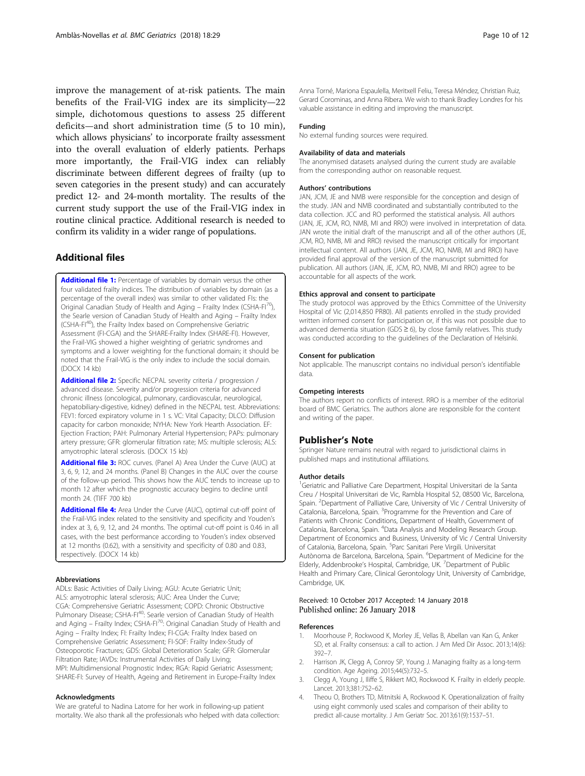<span id="page-9-0"></span>improve the management of at-risk patients. The main benefits of the Frail-VIG index are its simplicity—22 simple, dichotomous questions to assess 25 different deficits—and short administration time (5 to 10 min), which allows physicians' to incorporate frailty assessment into the overall evaluation of elderly patients. Perhaps more importantly, the Frail-VIG index can reliably discriminate between different degrees of frailty (up to seven categories in the present study) and can accurately predict 12- and 24-month mortality. The results of the current study support the use of the Frail-VIG index in routine clinical practice. Additional research is needed to confirm its validity in a wider range of populations.

## Additional files

[Additional file 1:](dx.doi.org/10.1186/s12877-018-0718-2) Percentage of variables by domain versus the other four validated frailty indices. The distribution of variables by domain (as a percentage of the overall index) was similar to other validated FIs: the Original Canadian Study of Health and Aging – Frailty Index (CSHA-FI<sup>70</sup>), the Searle version of Canadian Study of Health and Aging – Frailty Index (CSHA-FI<sup>40</sup>), the Frailty Index based on Comprehensive Geriatric Assessment (FI-CGA) and the SHARE-Frailty Index (SHARE-FI). However, the Frail-VIG showed a higher weighting of geriatric syndromes and symptoms and a lower weighting for the functional domain; it should be noted that the Frail-VIG is the only index to include the social domain. (DOCX 14 kb)

[Additional file 2:](dx.doi.org/10.1186/s12877-018-0718-2) Specific NECPAL severity criteria / progression / advanced disease. Severity and/or progression criteria for advanced chronic illness (oncological, pulmonary, cardiovascular, neurological, hepatobiliary-digestive, kidney) defined in the NECPAL test. Abbreviations: FEV1: forced expiratory volume in 1 s. VC: Vital Capacity; DLCO: Diffusion capacity for carbon monoxide; NYHA: New York Hearth Association. EF: Ejection Fraction; PAH: Pulmonary Arterial Hypertension; PAPs: pulmonary artery pressure; GFR: glomerular filtration rate; MS: multiple sclerosis; ALS: amyotrophic lateral sclerosis. (DOCX 15 kb)

[Additional file 3:](dx.doi.org/10.1186/s12877-018-0718-2) ROC curves. (Panel A) Area Under the Curve (AUC) at 3, 6, 9, 12, and 24 months. (Panel B) Changes in the AUC over the course of the follow-up period. This shows how the AUC tends to increase up to month 12 after which the prognostic accuracy begins to decline until month 24. (TIFF 700 kb)

[Additional file 4:](dx.doi.org/10.1186/s12877-018-0718-2) Area Under the Curve (AUC), optimal cut-off point of the Frail-VIG index related to the sensitivity and specificity and Youden's index at 3, 6, 9, 12, and 24 months. The optimal cut-off point is 0.46 in all cases, with the best performance according to Youden's index observed at 12 months (0.62), with a sensitivity and specificity of 0.80 and 0.83, respectively. (DOCX 14 kb)

#### Abbreviations

ADLs: Basic Activities of Daily Living; AGU: Acute Geriatric Unit; ALS: amyotrophic lateral sclerosis; AUC: Area Under the Curve; CGA: Comprehensive Geriatric Assessment; COPD: Chronic Obstructive<br>Pulmonary Disease; CSHA-FI<sup>40</sup>: Searle version of Canadian Study of Health and Aging – Frailty Index; CSHA-FI<sup>70</sup>: Original Canadian Study of Health and Aging – Frailty Index; FI: Frailty Index; FI-CGA: Frailty Index based on Comprehensive Geriatric Assessment; FI-SOF: Frailty Index-Study of Osteoporotic Fractures; GDS: Global Deterioration Scale; GFR: Glomerular Filtration Rate; IAVDs: Instrumental Activities of Daily Living; MPI: Multidimensional Prognostic Index; RGA: Rapid Geriatric Assessment; SHARE-FI: Survey of Health, Ageing and Retirement in Europe-Frailty Index

#### Acknowledgments

We are grateful to Nadina Latorre for her work in following-up patient mortality. We also thank all the professionals who helped with data collection:

Anna Torné, Mariona Espaulella, Meritxell Feliu, Teresa Méndez, Christian Ruiz, Gerard Corominas, and Anna Ribera. We wish to thank Bradley Londres for his valuable assistance in editing and improving the manuscript.

#### Funding

No external funding sources were required.

#### Availability of data and materials

The anonymised datasets analysed during the current study are available from the corresponding author on reasonable request.

#### Authors' contributions

JAN, JCM, JE and NMB were responsible for the conception and design of the study. JAN and NMB coordinated and substantially contributed to the data collection. JCC and RO performed the statistical analysis. All authors (JAN, JE, JCM, RO, NMB, MI and RRO) were involved in interpretation of data. JAN wrote the initial draft of the manuscript and all of the other authors (JE, JCM, RO, NMB, MI and RRO) revised the manuscript critically for important intellectual content. All authors (JAN, JE, JCM, RO, NMB, MI and RRO) have provided final approval of the version of the manuscript submitted for publication. All authors (JAN, JE, JCM, RO, NMB, MI and RRO) agree to be accountable for all aspects of the work.

#### Ethics approval and consent to participate

The study protocol was approved by the Ethics Committee of the University Hospital of Vic (2,014,850 PR80). All patients enrolled in the study provided written informed consent for participation or, if this was not possible due to advanced dementia situation (GDS  $\geq$  6), by close family relatives. This study was conducted according to the guidelines of the Declaration of Helsinki.

#### Consent for publication

Not applicable. The manuscript contains no individual person's identifiable data.

#### Competing interests

The authors report no conflicts of interest. RRO is a member of the editorial board of BMC Geriatrics. The authors alone are responsible for the content and writing of the paper.

#### Publisher's Note

Springer Nature remains neutral with regard to jurisdictional claims in published maps and institutional affiliations.

#### Author details

<sup>1</sup>Geriatric and Palliative Care Department, Hospital Universitari de la Santa Creu / Hospital Universitari de Vic, Rambla Hospital 52, 08500 Vic, Barcelona, Spain. <sup>2</sup> Department of Palliative Care, University of Vic / Central University of Catalonia, Barcelona, Spain. <sup>3</sup> Programme for the Prevention and Care of Patients with Chronic Conditions, Department of Health, Government of Catalonia, Barcelona, Spain. <sup>4</sup> Data Analysis and Modeling Research Group. Department of Economics and Business, University of Vic / Central University of Catalonia, Barcelona, Spain. <sup>5</sup>Parc Sanitari Pere Virgili. Universitat Autònoma de Barcelona, Barcelona, Spain. <sup>6</sup>Department of Medicine for the Elderly, Addenbrooke's Hospital, Cambridge, UK. <sup>7</sup>Department of Public Health and Primary Care, Clinical Gerontology Unit, University of Cambridge, Cambridge, UK.

#### Received: 10 October 2017 Accepted: 14 January 2018 Published online: 26 January 2018

#### References

- 1. Moorhouse P, Rockwood K, Morley JE, Vellas B, Abellan van Kan G, Anker SD, et al. Frailty consensus: a call to action. J Am Med Dir Assoc. 2013;14(6): 392–7.
- 2. Harrison JK, Clegg A, Conroy SP, Young J. Managing frailty as a long-term condition. Age Ageing. 2015;44(5):732–5.
- 3. Clegg A, Young J, Iliffe S, Rikkert MO, Rockwood K. Frailty in elderly people. Lancet. 2013;381:752–62.
- 4. Theou O, Brothers TD, Mitnitski A, Rockwood K. Operationalization of frailty using eight commonly used scales and comparison of their ability to predict all-cause mortality. J Am Geriatr Soc. 2013;61(9):1537–51.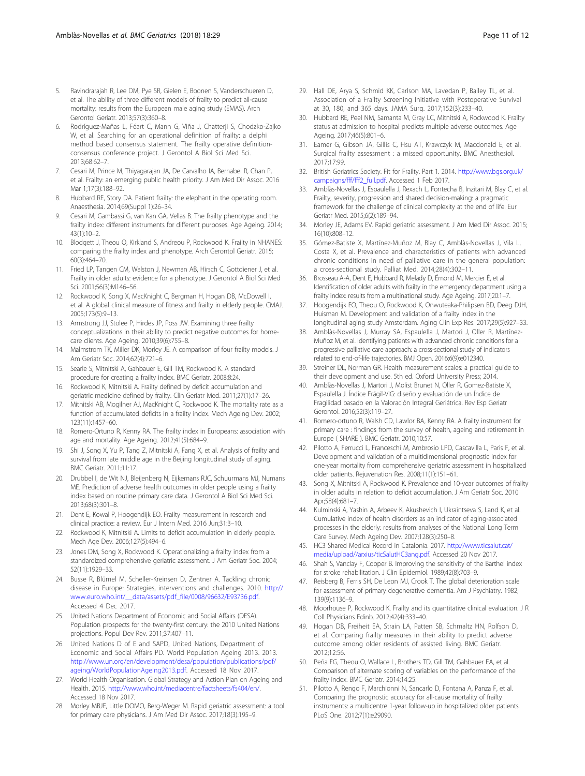- <span id="page-10-0"></span>5. Ravindrarajah R, Lee DM, Pye SR, Gielen E, Boonen S, Vanderschueren D, et al. The ability of three different models of frailty to predict all-cause mortality: results from the European male aging study (EMAS). Arch Gerontol Geriatr. 2013;57(3):360–8.
- 6. Rodríguez-Mañas L, Féart C, Mann G, Viña J, Chatterji S, Chodzko-Zajko W, et al. Searching for an operational definition of frailty: a delphi method based consensus statement. The frailty operative definitionconsensus conference project. J Gerontol A Biol Sci Med Sci. 2013;68:62–7.
- 7. Cesari M, Prince M, Thiyagarajan JA, De Carvalho IA, Bernabei R, Chan P, et al. Frailty: an emerging public health priority. J Am Med Dir Assoc. 2016 Mar 1;17(3):188–92.
- 8. Hubbard RE, Story DA. Patient frailty: the elephant in the operating room. Anaesthesia. 2014;69(Suppl 1):26–34.
- 9. Cesari M, Gambassi G, van Kan GA, Vellas B. The frailty phenotype and the frailty index: different instruments for different purposes. Age Ageing. 2014; 43(1):10–2.
- 10. Blodgett J, Theou O, Kirkland S, Andreou P, Rockwood K. Frailty in NHANES: comparing the frailty index and phenotype. Arch Gerontol Geriatr. 2015; 60(3):464–70.
- 11. Fried LP, Tangen CM, Walston J, Newman AB, Hirsch C, Gottdiener J, et al. Frailty in older adults: evidence for a phenotype. J Gerontol A Biol Sci Med Sci. 2001;56(3):M146–56.
- 12. Rockwood K, Song X, MacKnight C, Bergman H, Hogan DB, McDowell I, et al. A global clinical measure of fitness and frailty in elderly people. CMAJ. 2005;173(5):9–13.
- 13. Armstrong JJ, Stolee P, Hirdes JP, Poss JW, Examining three frailty conceptualizations in their ability to predict negative outcomes for homecare clients. Age Ageing. 2010;39(6):755–8.
- 14. Malmstrom TK, Miller DK, Morley JE. A comparison of four frailty models. J Am Geriatr Soc. 2014;62(4):721–6.
- 15. Searle S, Mitnitski A, Gahbauer E, Gill TM, Rockwood K. A standard procedure for creating a frailty index. BMC Geriatr. 2008;8:24.
- 16. Rockwood K, Mitnitski A. Frailty defined by deficit accumulation and geriatric medicine defined by frailty. Clin Geriatr Med. 2011;27(1):17–26.
- 17. Mitnitski AB, Mogilner AJ, MacKnight C, Rockwood K. The mortality rate as a function of accumulated deficits in a frailty index. Mech Ageing Dev. 2002; 123(11):1457–60.
- 18. Romero-Ortuno R, Kenny RA. The frailty index in Europeans: association with age and mortality. Age Ageing. 2012;41(5):684–9.
- 19. Shi J, Song X, Yu P, Tang Z, Mitnitski A, Fang X, et al. Analysis of frailty and survival from late middle age in the Beijing longitudinal study of aging. BMC Geriatr. 2011;11:17.
- 20. Drubbel I, de Wit NJ, Bleijenberg N, Eijkemans RJC, Schuurmans MJ, Numans ME. Prediction of adverse health outcomes in older people using a frailty index based on routine primary care data. J Gerontol A Biol Sci Med Sci. 2013;68(3):301–8.
- 21. Dent E, Kowal P, Hoogendijk EO. Frailty measurement in research and clinical practice: a review. Eur J Intern Med. 2016 Jun;31:3–10.
- 22. Rockwood K, Mitnitski A. Limits to deficit accumulation in elderly people. Mech Age Dev. 2006;127(5):494–6.
- 23. Jones DM, Song X, Rockwood K. Operationalizing a frailty index from a standardized comprehensive geriatric assessment. J Am Geriatr Soc. 2004; 52(11):1929–33.
- 24. Busse R, Blümel M, Scheller-Kreinsen D, Zentner A. Tackling chronic disease in Europe: Strategies, interventions and challenges. 2010. [http://](http://www.euro.who.int/__data/assets/pdf_file/0008/96632/E93736.pdf) [www.euro.who.int/\\_\\_data/assets/pdf\\_file/0008/96632/E93736.pdf](http://www.euro.who.int/__data/assets/pdf_file/0008/96632/E93736.pdf). Accessed 4 Dec 2017.
- 25. United Nations Department of Economic and Social Affairs (DESA). Population prospects for the twenty-first century: the 2010 United Nations projections. Popul Dev Rev. 2011;37:407–11.
- 26. United Nations D of E and SAPD, United Nations, Department of Economic and Social Affairs PD. World Population Ageing 2013. 2013. [http://www.un.org/en/development/desa/population/publications/pdf/](http://www.un.org/en/development/desa/population/publications/pdf/ageing/WorldPopulationAgeing2013.pdf) [ageing/WorldPopulationAgeing2013.pdf.](http://www.un.org/en/development/desa/population/publications/pdf/ageing/WorldPopulationAgeing2013.pdf) Accessed 18 Nov 2017.
- 27. World Health Organisation. Global Strategy and Action Plan on Ageing and Health. 2015. [http://www.who.int/mediacentre/factsheets/fs404/en/](http://www.who.int/mediacentre/factsheets/fs404/en). Accessed 18 Nov 2017.
- 28. Morley MBJE, Little DOMO, Berg-Weger M. Rapid geriatric assessment: a tool for primary care physicians. J Am Med Dir Assoc. 2017;18(3):195–9.
- 29. Hall DE, Arya S, Schmid KK, Carlson MA, Lavedan P, Bailey TL, et al. Association of a Frailty Screening Initiative with Postoperative Survival at 30, 180, and 365 days. JAMA Surg. 2017;152(3):233–40.
- 30. Hubbard RE, Peel NM, Samanta M, Gray LC, Mitnitski A, Rockwood K. Frailty status at admission to hospital predicts multiple adverse outcomes. Age Ageing. 2017;46(5):801–6.
- 31. Eamer G, Gibson JA, Gillis C, Hsu AT, Krawczyk M, Macdonald E, et al. Surgical frailty assessment : a missed opportunity. BMC Anesthesiol. 2017;17:99.
- 32. British Geriatrics Society. Fit for Frailty. Part 1. 2014. [http://www.bgs.org.uk/](http://www.bgs.org.uk/campaigns/fff/fff2_full.pdf) [campaigns/fff/fff2\\_full.pdf.](http://www.bgs.org.uk/campaigns/fff/fff2_full.pdf) Accessed 1 Feb 2017.
- 33. Amblàs-Novellas J, Espaulella J, Rexach L, Fontecha B, Inzitari M, Blay C, et al. Frailty, severity, progression and shared decision-making: a pragmatic framework for the challenge of clinical complexity at the end of life. Eur Geriatr Med. 2015;6(2):189–94.
- 34. Morley JE, Adams EV. Rapid geriatric assessment. J Am Med Dir Assoc. 2015; 16(10):808–12.
- 35. Gómez-Batiste X, Martínez-Muñoz M, Blay C, Amblàs-Novellas J, Vila L, Costa X, et al. Prevalence and characteristics of patients with advanced chronic conditions in need of palliative care in the general population: a cross-sectional study. Palliat Med. 2014;28(4):302–11.
- 36. Brosseau A-A, Dent E, Hubbard R, Melady D, Émond M, Mercier É, et al. Identification of older adults with frailty in the emergency department using a frailty index: results from a multinational study. Age Ageing. 2017;20:1–7.
- 37. Hoogendijk EO, Theou O, Rockwood K, Onwuteaka-Philipsen BD, Deeg DJH, Huisman M. Development and validation of a frailty index in the longitudinal aging study Amsterdam. Aging Clin Exp Res. 2017;29(5):927–33.
- 38. Amblàs-Novellas J, Murray SA, Espaulella J, Martori J, Oller R, Martínez-Muñoz M, et al. Identifying patients with advanced chronic conditions for a progressive palliative care approach: a cross-sectional study of indicators related to end-of-life trajectories. BMJ Open. 2016;6(9):e012340.
- 39. Streiner DL, Norman GR. Health measurement scales: a practical guide to their development and use. 5th ed. Oxford University Press; 2014.
- 40. Amblàs-Novellas J, Martori J, Molist Brunet N, Oller R, Gomez-Batiste X, Espaulella J. Índice Frágil-VIG: diseño y evaluación de un Índice de Fragilidad basado en la Valoración Integral Geriátrica. Rev Esp Geriatr Gerontol. 2016;52(3):119–27.
- 41. Romero-ortuno R, Walsh CD, Lawlor BA, Kenny RA. A frailty instrument for primary care : findings from the survey of health, ageing and retirement in Europe ( SHARE ). BMC Geriatr. 2010;10:57.
- 42. Pilotto A, Ferrucci L, Franceschi M, Ambrosio LPD, Cascavilla L, Paris F, et al. Development and validation of a multidimensional prognostic index for one-year mortality from comprehensive geriatric assessment in hospitalized older patients. Rejuvenation Res. 2008;11(1):151–61.
- 43. Song X, Mitnitski A, Rockwood K. Prevalence and 10-year outcomes of frailty in older adults in relation to deficit accumulation. J Am Geriatr Soc. 2010 Apr;58(4):681–7.
- 44. Kulminski A, Yashin A, Arbeev K, Akushevich I, Ukraintseva S, Land K, et al. Cumulative index of health disorders as an indicator of aging-associated processes in the elderly: results from analyses of the National Long Term Care Survey. Mech Ageing Dev. 2007;128(3):250–8.
- 45. HC3 Shared Medical Record in Catalonia. 2017. [http://www.ticsalut.cat/](http://www.ticsalut.cat/media/upload//arxius/ticSalutHC3ang.pdf) [media/upload//arxius/ticSalutHC3ang.pdf](http://www.ticsalut.cat/media/upload//arxius/ticSalutHC3ang.pdf). Accessed 20 Nov 2017.
- 46. Shah S, Vanclay F, Cooper B. Improving the sensitivity of the Barthel index for stroke rehabilitation. J Clin Epidemiol. 1989;42(8):703–9.
- 47. Reisberg B, Ferris SH, De Leon MJ, Crook T. The global deterioration scale for assessment of primary degenerative dementia. Am J Psychiatry. 1982; 139(9):1136–9.
- 48. Moorhouse P, Rockwood K. Frailty and its quantitative clinical evaluation. J R Coll Physicians Edinb. 2012;42(4):333–40.
- 49. Hogan DB, Freiheit EA, Strain LA, Patten SB, Schmaltz HN, Rolfson D, et al. Comparing frailty measures in their ability to predict adverse outcome among older residents of assisted living. BMC Geriatr. 2012;12:56.
- 50. Peña FG, Theou O, Wallace L, Brothers TD, Gill TM, Gahbauer EA, et al. Comparison of alternate scoring of variables on the performance of the frailty index. BMC Geriatr. 2014;14:25.
- 51. Pilotto A, Rengo F, Marchionni N, Sancarlo D, Fontana A, Panza F, et al. Comparing the prognostic accuracy for all-cause mortality of frailty instruments: a multicentre 1-year follow-up in hospitalized older patients. PLoS One. 2012;7(1):e29090.